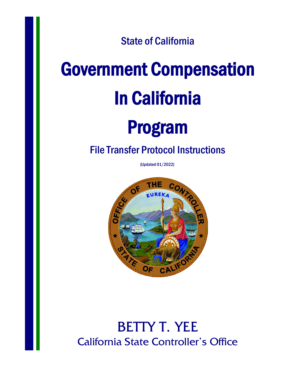State of California

# Government Compensation In California

# Program

### File Transfer Protocol Instructions

(Updated 01/2022)



## BETTY T. YEE California State Controller's Office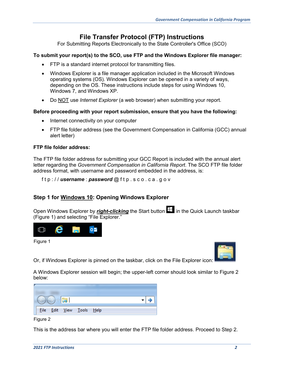#### **File Transfer Protocol (FTP) Instructions**

For Submitting Reports Electronically to the State Controller's Office (SCO)

#### **To submit your report(s) to the SCO, use FTP and the Windows Explorer file manager:**

- FTP is a standard internet protocol for transmitting files.
- Windows Explorer is a file manager application included in the Microsoft Windows operating systems (OS). Windows Explorer can be opened in a variety of ways, depending on the OS. These instructions include steps for using Windows 10, Windows 7, and Windows XP.
- Do NOT use *Internet Explorer* (a web browser) when submitting your report.

#### **Before proceeding with your report submission, ensure that you have the following:**

- Internet connectivity on your computer
- FTP file folder address (see the Government Compensation in California (GCC) annual alert letter)

#### **FTP file folder address:**

The FTP file folder address for submitting your GCC Report is included with the annual alert letter regarding the *Government Compensation in California Report*. The SCO FTP file folder address format, with username and password embedded in the address, is:

f t p : / / *username* : *password* @ f t p . s c o . c a . g o v

#### **Step 1 for Windows 10: Opening Windows Explorer**

Open Windows Explorer by *right-clicking* the Start button  $\Box$  in the Quick Launch taskbar (Figure 1) and selecting "File Explorer."



Figure 1

Or, if Windows Explorer is pinned on the taskbar, click on the File Explorer icon:

A Windows Explorer session will begin; the upper-left corner should look similar to Figure 2 below:

| <b>File</b> |  | Edit <u>V</u> iew Tools Help |  |  |
|-------------|--|------------------------------|--|--|

Figure 2

This is the address bar where you will enter the FTP file folder address. Proceed to Step 2.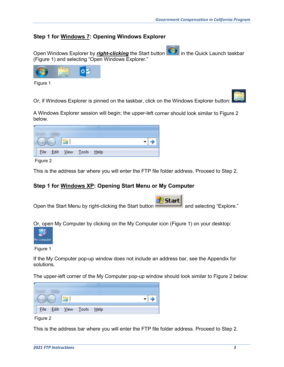#### **Step 1 for Windows 7: Opening Windows Explorer**

Open Windows Explorer by *right-clicking* the Start button **in the Quick Launch taskbar** (Figure 1) and selecting "Open Windows Explorer."



Figure 1

Or, if Windows Explorer is pinned on the taskbar, click on the Windows Explorer button:

A Windows Explorer session will begin; the upper-left corner should look similar to Figure 2 below.

|  | File Edit | View <u>T</u> ools Help |  |
|--|-----------|-------------------------|--|

Figure 2

This is the address bar where you will enter the FTP file folder address. Proceed to Step 2.

#### **Step 1 for Windows XP: Opening Start Menu or My Computer**

**Start** Open the Start Menu by right-clicking the Start button **and Start and selecting "Explore."** 

Or, open My Computer by clicking on the My Computer icon (Figure 1) on your desktop:



Figure 1

If the My Computer pop-up window does not include an address bar, see the Appendix for solutions.

The upper-left corner of the My Computer pop-up window should look similar to Figure 2 below:



Figure 2

This is the address bar where you will enter the FTP file folder address. Proceed to Step 2.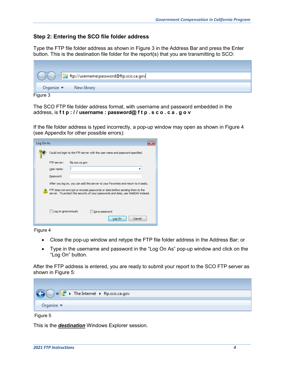#### **Step 2: Entering the SCO file folder address**

Type the FTP file folder address as shown in Figure 3 in the Address Bar and press the Enter button. This is the destination file folder for the report(s) that you are transmitting to SCO:

| ftp://username:password@ftp.sco.ca.gov                |  |
|-------------------------------------------------------|--|
| Organize $\blacktriangledown$ New library<br>Figure 3 |  |

The SCO FTP file folder address format, with username and password embedded in the address, is **f t p : / / username : password@ f t p . s c o . c a . g o v**

If the file folder address is typed incorrectly, a pop-up window may open as shown in Figure 4 (see Appendix for other possible errors):

| Log On As |                                                                                                                                                                |
|-----------|----------------------------------------------------------------------------------------------------------------------------------------------------------------|
|           | Could not login to the FTP server with the user name and password specified.                                                                                   |
|           | ftp.sco.ca.gov<br>FTP server:                                                                                                                                  |
|           | User name:                                                                                                                                                     |
|           | Password:                                                                                                                                                      |
|           | After you log on, you can add this server to your Favorites and return to it easily.                                                                           |
|           | FTP does not encrypt or encode passwords or data before sending them to the<br>server. To protect the security of your passwords and data, use WebDAV instead. |
|           | Log on anonymously<br>Save password<br>Cancel<br>Log On                                                                                                        |

Figure 4

- Close the pop-up window and retype the FTP file folder address in the Address Bar; or
- Type in the username and password in the "Log On As" pop-up window and click on the "Log On" button.

After the FTP address is entered, you are ready to submit your report to the SCO FTP server as shown in Figure 5:



Figure 5

This is the *destination* Windows Explorer session.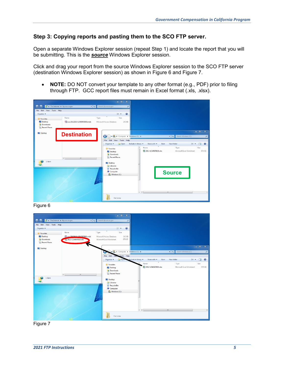#### **Step 3: Copying reports and pasting them to the SCO FTP server.**

Open a separate Windows Explorer session (repeat Step 1) and locate the report that you will be submitting. This is the *source* Windows Explorer session.

Click and drag your report from the source Windows Explorer session to the SCO FTP server (destination Windows Explorer session) as shown in Figure 6 and Figure 7.

• **NOTE:** DO NOT convert your template to any other format (e.g., PDF) prior to filing through FTP. GCC report files must remain in Excel format (.xls, .xlsx).

|                                                  |                                        | $  x$                                                             |                                                                                    |                              |                            |
|--------------------------------------------------|----------------------------------------|-------------------------------------------------------------------|------------------------------------------------------------------------------------|------------------------------|----------------------------|
|                                                  | The Internet + ftp.sco.ca.gov<br>$-49$ | Search ftp.sco.ca.gov<br>$\alpha$                                 |                                                                                    |                              |                            |
| File Edit View Tools Help                        |                                        |                                                                   |                                                                                    |                              |                            |
| Organize -                                       |                                        | <b>注·</b><br>$\overline{\mathbf{a}}$                              |                                                                                    |                              |                            |
| Favorites                                        | Name                                   | Type<br>Size                                                      |                                                                                    |                              |                            |
| Desktop<br><b>D</b> . Downloads<br>Recent Places | Sco 20122013-12543905000.mdb           | Microsoft Access Database<br>242 KB                               |                                                                                    |                              |                            |
| Desktop                                          | <b>Destination</b>                     | G<br>$\blacktriangleright$ <b>Ex.</b> I Computer I Windows (C:) I |                                                                                    | Search Windows (C:)<br>$-14$ | $-10$<br>$\mathbf{x}$<br>۹ |
|                                                  |                                        | Edit View Tools Help<br>File                                      |                                                                                    |                              |                            |
|                                                  |                                        | Organize v<br>Open                                                | Share with $\sim$<br>Include in library<br><b>Burn</b><br>$\blacktriangle$<br>Name | New folder<br>注 -<br>Type    | 0<br>围<br>Size             |
|                                                  |                                        | Favorites<br>Desktop                                              | 2012-12345678910.xlsx                                                              | Microsoft Excel Worksheet    | 979 KB                     |
|                                                  |                                        | <b>Downloads</b>                                                  |                                                                                    |                              |                            |
|                                                  | $\leftarrow$<br>m.                     | Recent Places                                                     |                                                                                    |                              |                            |
| 1 item                                           |                                        | Desktop                                                           |                                                                                    |                              |                            |
|                                                  |                                        | Libraries                                                         |                                                                                    |                              |                            |
|                                                  |                                        | <b>Recycle Bin</b>                                                |                                                                                    |                              |                            |
|                                                  |                                        | Computer<br>Windows (C:)                                          |                                                                                    | <b>Source</b>                |                            |
|                                                  |                                        |                                                                   | $+$ $+$                                                                            | m.                           |                            |
|                                                  |                                        | File folder                                                       |                                                                                    |                              |                            |





Figure 7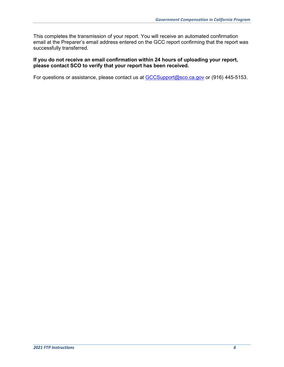This completes the transmission of your report. You will receive an automated confirmation email at the Preparer's email address entered on the GCC report confirming that the report was successfully transferred.

#### **If you do not receive an email confirmation within 24 hours of uploading your report, please contact SCO to verify that your report has been received.**

For questions or assistance, please contact us at [GCCSupport@sco.ca.gov](mailto:GCCSupport@sco.ca.gov) or (916) 445-5153.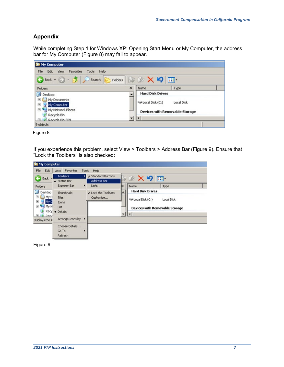#### **Appendix**

While completing Step 1 for <u>Windows XP</u>: Opening Start Menu or My Computer, the address bar for My Computer (Figure 8) may fail to appear.

| <b>De</b> My Computer                                                |                                       |  |
|----------------------------------------------------------------------|---------------------------------------|--|
| File<br>Edit<br>Tools<br>Favorites<br>Help<br>View                   |                                       |  |
| $\odot$ $\cdot$ $\bullet$<br>Search<br>Back +<br>Folders             | $\rightarrow X$ り<br>$\blacksquare$   |  |
| Folders                                                              | $\times$<br>Name<br>Type              |  |
| C<br>Desktop                                                         | <b>Hard Disk Drives</b>               |  |
| My Documents<br>囝<br>My Computer<br>田                                | Disk (C:)<br>Local Disk               |  |
| My Network Places<br>田<br>Recycle Bin<br><b>EL 2 Recycle Bin BIN</b> | <b>Devices with Removable Storage</b> |  |
| 9 objects                                                            |                                       |  |

Figure 8

If you experience this problem, select View > Toolbars > Address Bar (Figure 9). Ensure that "Lock the Toolbars" is also checked:

| <b>De</b> My Computer                             |                                                                           |                                         |                                                                  |
|---------------------------------------------------|---------------------------------------------------------------------------|-----------------------------------------|------------------------------------------------------------------|
| Edit<br>File                                      | Favorites<br>Tools<br>View                                                | Help                                    |                                                                  |
| <b>Back</b>                                       | <b>Toolbars</b><br>$\vee$ Status Bar                                      | Standard Buttons<br>Address Bar         | $\mathcal{L} \times \mathbf{9}$ .                                |
| Folders<br>G<br>Desktop<br>My D<br>$\overline{+}$ | Explorer Bar<br>٠<br>Thumbnails<br>Tiles                                  | Links<br>Lock the Toolbars<br>Customize | Name<br>к<br>Type<br><b>Hard Disk Drives</b>                     |
| ⊞<br>My C<br>⊞<br>My N<br>F 2 Recy                | Icons<br>List<br>Recy · Details                                           |                                         | Disk (C:)<br>Local Disk<br><b>Devices with Removable Storage</b> |
| Displays the A                                    | Arrange Icons by $\rightarrow$<br>Choose Details<br>Go To<br>▸<br>Refresh |                                         |                                                                  |

Figure 9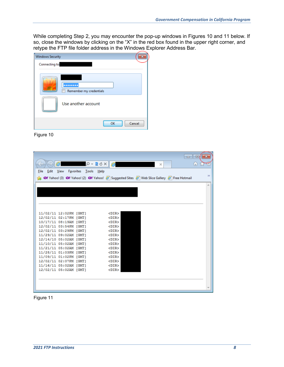While completing Step 2, you may encounter the pop-up windows in Figures 10 and 11 below. If so, close the windows by clicking on the "X" in the red box found in the upper right corner, and retype the FTP file folder address in the Windows Explorer Address Bar.

| <b>Windows Security</b> |                         |
|-------------------------|-------------------------|
| Connecting to           |                         |
| <br>m.                  | Remember my credentials |
| Use another account     |                         |
|                         | Cancel<br>OK            |

Figure 10

|                        |                                | $\Box$ e                                                                                                        |
|------------------------|--------------------------------|-----------------------------------------------------------------------------------------------------------------|
|                        | $\alpha$ - $\alpha$ d $\times$ | ím?<br>$\times$                                                                                                 |
| Edit<br>View<br>File   | Favorites Tools<br>Help        |                                                                                                                 |
|                        |                                | 35<br><b>B</b> Of Yahoo! (3) Of Yahoo! (2) Of Yahoo! (3) Suggested Sites (3) Web Slice Gallery (3) Free Hotmail |
|                        |                                | ×.                                                                                                              |
|                        |                                |                                                                                                                 |
|                        |                                |                                                                                                                 |
|                        |                                |                                                                                                                 |
|                        |                                |                                                                                                                 |
| 11/02/11 12:02PM [GMT] |                                | <dir></dir>                                                                                                     |
| 12/02/11 02:17PM [GMT] |                                | <dir></dir>                                                                                                     |
| 10/17/11 08:19AM [GMT] |                                | <dir></dir>                                                                                                     |
| 12/02/11 03:54PM [GMT] |                                | <dir></dir>                                                                                                     |
| 12/02/11 03:29PM [GMT] |                                | <dir></dir>                                                                                                     |
| 11/29/11 09:02AM [GMT] |                                | <dir></dir>                                                                                                     |
| 12/14/10 05:02AM [GMT] |                                | <dir></dir>                                                                                                     |
| 11/10/11 05:02AM [GMT] |                                | <dir></dir>                                                                                                     |
| 11/21/11 05:02AM [GMT] |                                | <dir></dir>                                                                                                     |
| 11/28/11 01:03PM [GMT] |                                | <dir></dir>                                                                                                     |
| 11/09/11 01:02PM [GMT] |                                | <dir></dir>                                                                                                     |
| 12/02/11 02:07PM [GMT] |                                | <dir></dir>                                                                                                     |
| 11/16/11 05:02AM [GMT] |                                | <dir></dir>                                                                                                     |
| 12/02/11 05:02AM [GMT] |                                | <dir></dir>                                                                                                     |
|                        |                                |                                                                                                                 |
|                        |                                |                                                                                                                 |
|                        |                                |                                                                                                                 |
|                        |                                |                                                                                                                 |